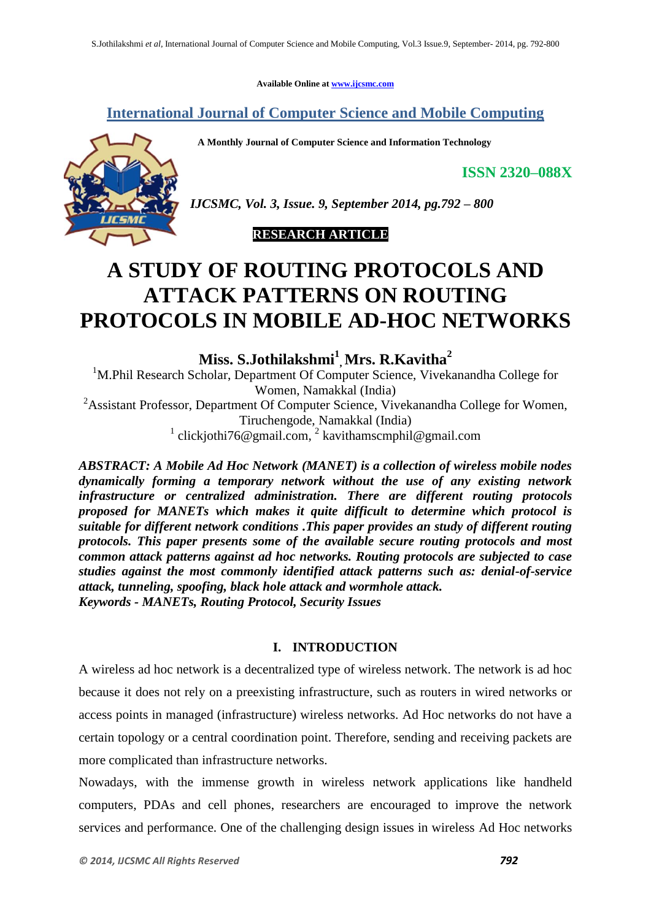**Available Online at [www.ijcsmc.com](http://www.ijcsmc.com/)**

**International Journal of Computer Science and Mobile Computing**

 **A Monthly Journal of Computer Science and Information Technology**

**ISSN 2320–088X**



*IJCSMC, Vol. 3, Issue. 9, September 2014, pg.792 – 800*

# **RESEARCH ARTICLE**

# **A STUDY OF ROUTING PROTOCOLS AND ATTACK PATTERNS ON ROUTING PROTOCOLS IN MOBILE AD-HOC NETWORKS**

**Miss. S.Jothilakshmi<sup>1</sup> ,Mrs. R.Kavitha<sup>2</sup>**

<sup>1</sup>M.Phil Research Scholar, Department Of Computer Science, Vivekanandha College for Women, Namakkal (India) <sup>2</sup>Assistant Professor, Department Of Computer Science, Vivekanandha College for Women, Tiruchengode, Namakkal (India) <sup>1</sup> [clickjothi76@gmail.com,](mailto:1%20clickjothi76@gmail.com)<sup>2</sup> [kavithamscmphil@gmail.com](mailto:kavithamscmphil@gmail.com)

*ABSTRACT: A Mobile Ad Hoc Network (MANET) is a collection of wireless mobile nodes dynamically forming a temporary network without the use of any existing network infrastructure or centralized administration. There are different routing protocols proposed for MANETs which makes it quite difficult to determine which protocol is suitable for different network conditions .This paper provides an study of different routing protocols. This paper presents some of the available secure routing protocols and most common attack patterns against ad hoc networks. Routing protocols are subjected to case studies against the most commonly identified attack patterns such as: denial-of-service attack, tunneling, spoofing, black hole attack and wormhole attack. Keywords - MANETs, Routing Protocol, Security Issues*

# **I. INTRODUCTION**

A wireless ad hoc network is a decentralized type of wireless network. The network is ad hoc because it does not rely on a preexisting infrastructure, such as routers in wired networks or access points in managed (infrastructure) wireless networks. Ad Hoc networks do not have a certain topology or a central coordination point. Therefore, sending and receiving packets are more complicated than infrastructure networks.

Nowadays, with the immense growth in wireless network applications like handheld computers, PDAs and cell phones, researchers are encouraged to improve the network services and performance. One of the challenging design issues in wireless Ad Hoc networks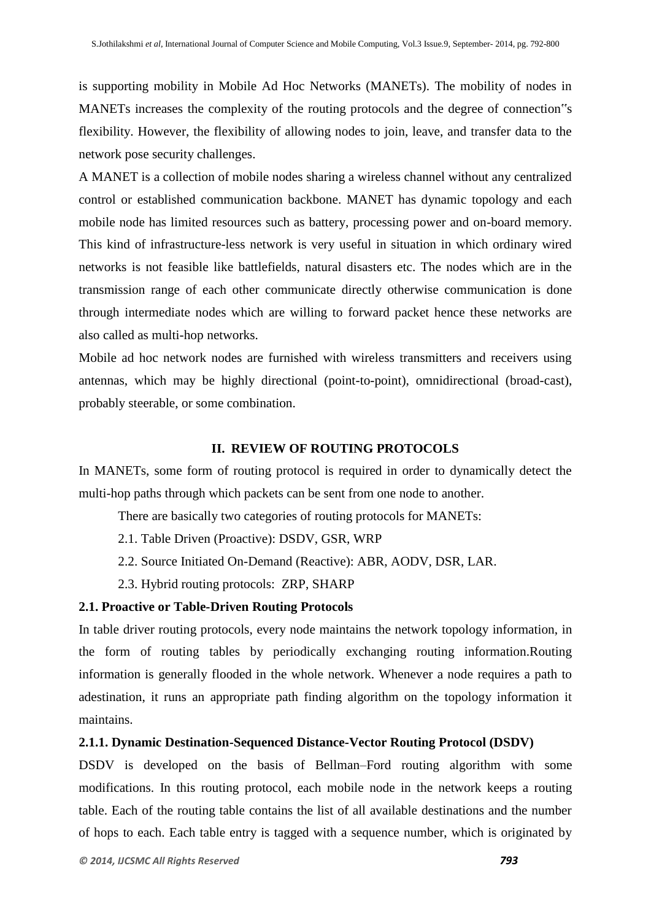is supporting mobility in Mobile Ad Hoc Networks (MANETs). The mobility of nodes in MANETs increases the complexity of the routing protocols and the degree of connection"s flexibility. However, the flexibility of allowing nodes to join, leave, and transfer data to the network pose security challenges.

A MANET is a collection of mobile nodes sharing a wireless channel without any centralized control or established communication backbone. MANET has dynamic topology and each mobile node has limited resources such as battery, processing power and on-board memory. This kind of infrastructure-less network is very useful in situation in which ordinary wired networks is not feasible like battlefields, natural disasters etc. The nodes which are in the transmission range of each other communicate directly otherwise communication is done through intermediate nodes which are willing to forward packet hence these networks are also called as multi-hop networks.

Mobile ad hoc network nodes are furnished with wireless transmitters and receivers using antennas, which may be highly directional (point-to-point), omnidirectional (broad-cast), probably steerable, or some combination.

### **II. REVIEW OF ROUTING PROTOCOLS**

In MANETs, some form of routing protocol is required in order to dynamically detect the multi-hop paths through which packets can be sent from one node to another.

There are basically two categories of routing protocols for MANETs:

- 2.1. Table Driven (Proactive): DSDV, GSR, WRP
- 2.2. Source Initiated On-Demand (Reactive): ABR, AODV, DSR, LAR.
- 2.3. Hybrid routing protocols: ZRP, SHARP

#### **2.1. Proactive or Table-Driven Routing Protocols**

In table driver routing protocols, every node maintains the network topology information, in the form of routing tables by periodically exchanging routing information.Routing information is generally flooded in the whole network. Whenever a node requires a path to adestination, it runs an appropriate path finding algorithm on the topology information it maintains.

#### **2.1.1. Dynamic Destination-Sequenced Distance-Vector Routing Protocol (DSDV)**

DSDV is developed on the basis of Bellman–Ford routing algorithm with some modifications. In this routing protocol, each mobile node in the network keeps a routing table. Each of the routing table contains the list of all available destinations and the number of hops to each. Each table entry is tagged with a sequence number, which is originated by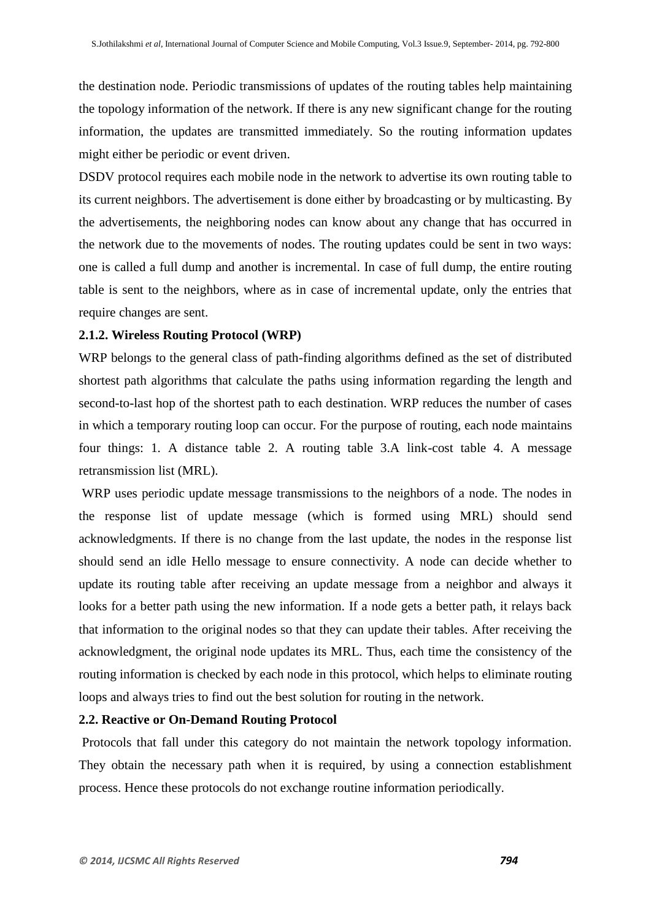the destination node. Periodic transmissions of updates of the routing tables help maintaining the topology information of the network. If there is any new significant change for the routing information, the updates are transmitted immediately. So the routing information updates might either be periodic or event driven.

DSDV protocol requires each mobile node in the network to advertise its own routing table to its current neighbors. The advertisement is done either by broadcasting or by multicasting. By the advertisements, the neighboring nodes can know about any change that has occurred in the network due to the movements of nodes. The routing updates could be sent in two ways: one is called a full dump and another is incremental. In case of full dump, the entire routing table is sent to the neighbors, where as in case of incremental update, only the entries that require changes are sent.

#### **2.1.2. Wireless Routing Protocol (WRP)**

WRP belongs to the general class of path-finding algorithms defined as the set of distributed shortest path algorithms that calculate the paths using information regarding the length and second-to-last hop of the shortest path to each destination. WRP reduces the number of cases in which a temporary routing loop can occur. For the purpose of routing, each node maintains four things: 1. A distance table 2. A routing table 3.A link-cost table 4. A message retransmission list (MRL).

WRP uses periodic update message transmissions to the neighbors of a node. The nodes in the response list of update message (which is formed using MRL) should send acknowledgments. If there is no change from the last update, the nodes in the response list should send an idle Hello message to ensure connectivity. A node can decide whether to update its routing table after receiving an update message from a neighbor and always it looks for a better path using the new information. If a node gets a better path, it relays back that information to the original nodes so that they can update their tables. After receiving the acknowledgment, the original node updates its MRL. Thus, each time the consistency of the routing information is checked by each node in this protocol, which helps to eliminate routing loops and always tries to find out the best solution for routing in the network.

#### **2.2. Reactive or On-Demand Routing Protocol**

Protocols that fall under this category do not maintain the network topology information. They obtain the necessary path when it is required, by using a connection establishment process. Hence these protocols do not exchange routine information periodically.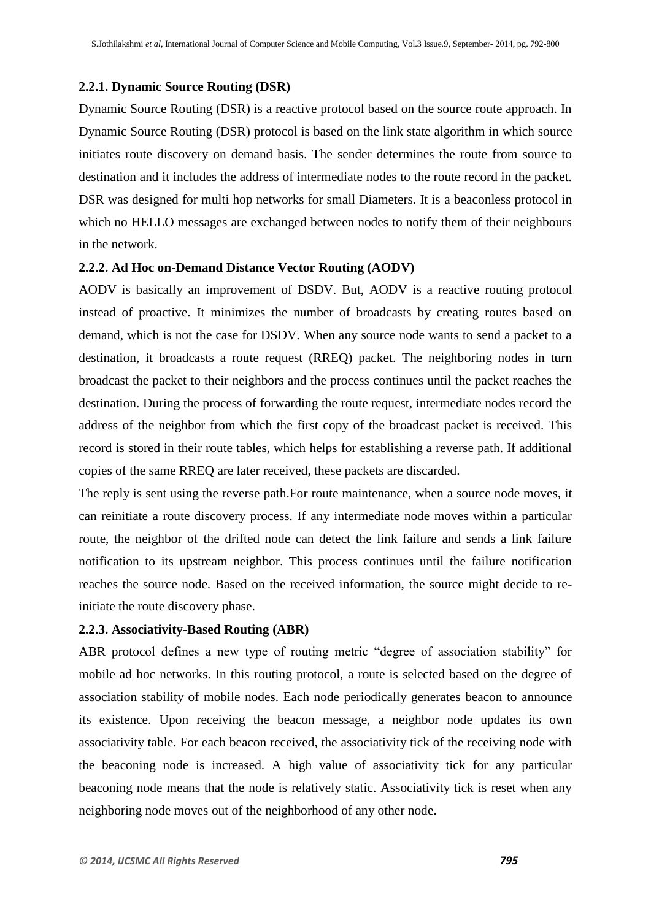#### **2.2.1. Dynamic Source Routing (DSR)**

Dynamic Source Routing (DSR) is a reactive protocol based on the source route approach. In Dynamic Source Routing (DSR) protocol is based on the link state algorithm in which source initiates route discovery on demand basis. The sender determines the route from source to destination and it includes the address of intermediate nodes to the route record in the packet. DSR was designed for multi hop networks for small Diameters. It is a beaconless protocol in which no HELLO messages are exchanged between nodes to notify them of their neighbours in the network.

#### **2.2.2. Ad Hoc on-Demand Distance Vector Routing (AODV)**

AODV is basically an improvement of DSDV. But, AODV is a reactive routing protocol instead of proactive. It minimizes the number of broadcasts by creating routes based on demand, which is not the case for DSDV. When any source node wants to send a packet to a destination, it broadcasts a route request (RREQ) packet. The neighboring nodes in turn broadcast the packet to their neighbors and the process continues until the packet reaches the destination. During the process of forwarding the route request, intermediate nodes record the address of the neighbor from which the first copy of the broadcast packet is received. This record is stored in their route tables, which helps for establishing a reverse path. If additional copies of the same RREQ are later received, these packets are discarded.

The reply is sent using the reverse path.For route maintenance, when a source node moves, it can reinitiate a route discovery process. If any intermediate node moves within a particular route, the neighbor of the drifted node can detect the link failure and sends a link failure notification to its upstream neighbor. This process continues until the failure notification reaches the source node. Based on the received information, the source might decide to reinitiate the route discovery phase.

## **2.2.3. Associativity-Based Routing (ABR)**

ABR protocol defines a new type of routing metric "degree of association stability" for mobile ad hoc networks. In this routing protocol, a route is selected based on the degree of association stability of mobile nodes. Each node periodically generates beacon to announce its existence. Upon receiving the beacon message, a neighbor node updates its own associativity table. For each beacon received, the associativity tick of the receiving node with the beaconing node is increased. A high value of associativity tick for any particular beaconing node means that the node is relatively static. Associativity tick is reset when any neighboring node moves out of the neighborhood of any other node.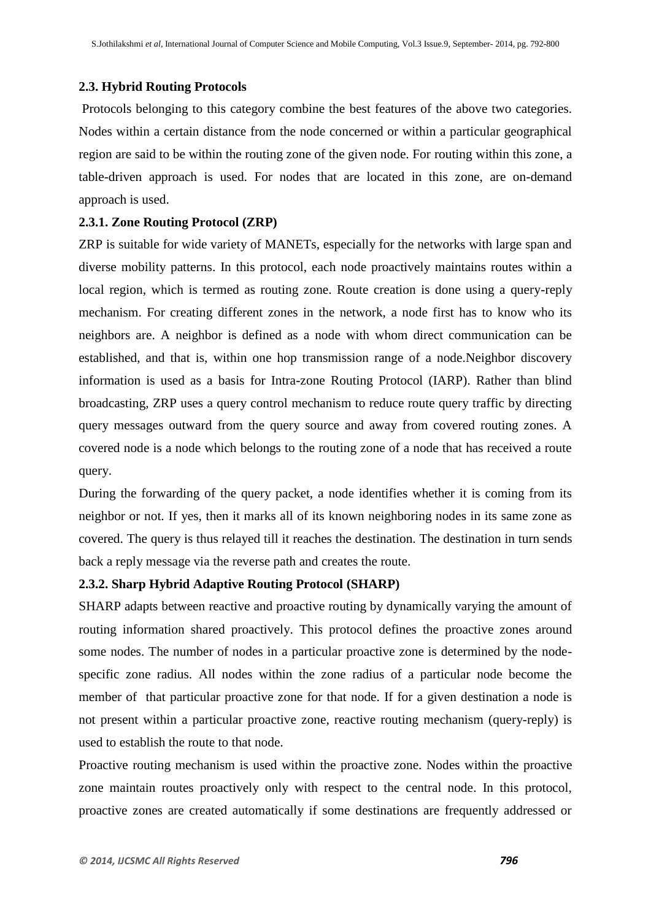# **2.3. Hybrid Routing Protocols**

Protocols belonging to this category combine the best features of the above two categories. Nodes within a certain distance from the node concerned or within a particular geographical region are said to be within the routing zone of the given node. For routing within this zone, a table-driven approach is used. For nodes that are located in this zone, are on-demand approach is used.

### **2.3.1. Zone Routing Protocol (ZRP)**

ZRP is suitable for wide variety of MANETs, especially for the networks with large span and diverse mobility patterns. In this protocol, each node proactively maintains routes within a local region, which is termed as routing zone. Route creation is done using a query-reply mechanism. For creating different zones in the network, a node first has to know who its neighbors are. A neighbor is defined as a node with whom direct communication can be established, and that is, within one hop transmission range of a node.Neighbor discovery information is used as a basis for Intra-zone Routing Protocol (IARP). Rather than blind broadcasting, ZRP uses a query control mechanism to reduce route query traffic by directing query messages outward from the query source and away from covered routing zones. A covered node is a node which belongs to the routing zone of a node that has received a route query.

During the forwarding of the query packet, a node identifies whether it is coming from its neighbor or not. If yes, then it marks all of its known neighboring nodes in its same zone as covered. The query is thus relayed till it reaches the destination. The destination in turn sends back a reply message via the reverse path and creates the route.

# **2.3.2. Sharp Hybrid Adaptive Routing Protocol (SHARP)**

SHARP adapts between reactive and proactive routing by dynamically varying the amount of routing information shared proactively. This protocol defines the proactive zones around some nodes. The number of nodes in a particular proactive zone is determined by the nodespecific zone radius. All nodes within the zone radius of a particular node become the member of that particular proactive zone for that node. If for a given destination a node is not present within a particular proactive zone, reactive routing mechanism (query-reply) is used to establish the route to that node.

Proactive routing mechanism is used within the proactive zone. Nodes within the proactive zone maintain routes proactively only with respect to the central node. In this protocol, proactive zones are created automatically if some destinations are frequently addressed or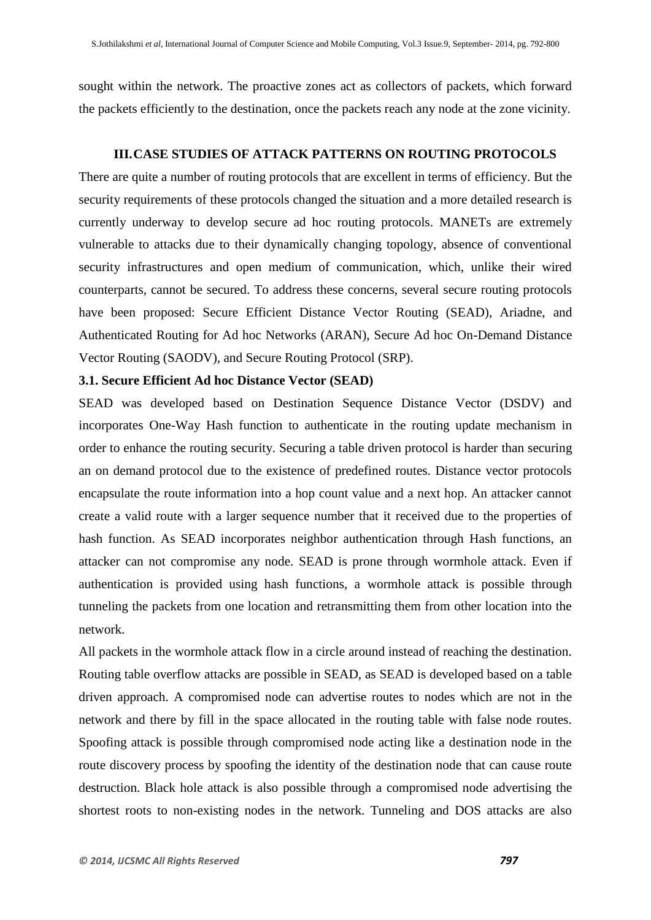sought within the network. The proactive zones act as collectors of packets, which forward the packets efficiently to the destination, once the packets reach any node at the zone vicinity.

# **III.CASE STUDIES OF ATTACK PATTERNS ON ROUTING PROTOCOLS**

There are quite a number of routing protocols that are excellent in terms of efficiency. But the security requirements of these protocols changed the situation and a more detailed research is currently underway to develop secure ad hoc routing protocols. MANETs are extremely vulnerable to attacks due to their dynamically changing topology, absence of conventional security infrastructures and open medium of communication, which, unlike their wired counterparts, cannot be secured. To address these concerns, several secure routing protocols have been proposed: Secure Efficient Distance Vector Routing (SEAD), Ariadne, and Authenticated Routing for Ad hoc Networks (ARAN), Secure Ad hoc On-Demand Distance Vector Routing (SAODV), and Secure Routing Protocol (SRP).

#### **3.1. Secure Efficient Ad hoc Distance Vector (SEAD)**

SEAD was developed based on Destination Sequence Distance Vector (DSDV) and incorporates One-Way Hash function to authenticate in the routing update mechanism in order to enhance the routing security. Securing a table driven protocol is harder than securing an on demand protocol due to the existence of predefined routes. Distance vector protocols encapsulate the route information into a hop count value and a next hop. An attacker cannot create a valid route with a larger sequence number that it received due to the properties of hash function. As SEAD incorporates neighbor authentication through Hash functions, an attacker can not compromise any node. SEAD is prone through wormhole attack. Even if authentication is provided using hash functions, a wormhole attack is possible through tunneling the packets from one location and retransmitting them from other location into the network.

All packets in the wormhole attack flow in a circle around instead of reaching the destination. Routing table overflow attacks are possible in SEAD, as SEAD is developed based on a table driven approach. A compromised node can advertise routes to nodes which are not in the network and there by fill in the space allocated in the routing table with false node routes. Spoofing attack is possible through compromised node acting like a destination node in the route discovery process by spoofing the identity of the destination node that can cause route destruction. Black hole attack is also possible through a compromised node advertising the shortest roots to non-existing nodes in the network. Tunneling and DOS attacks are also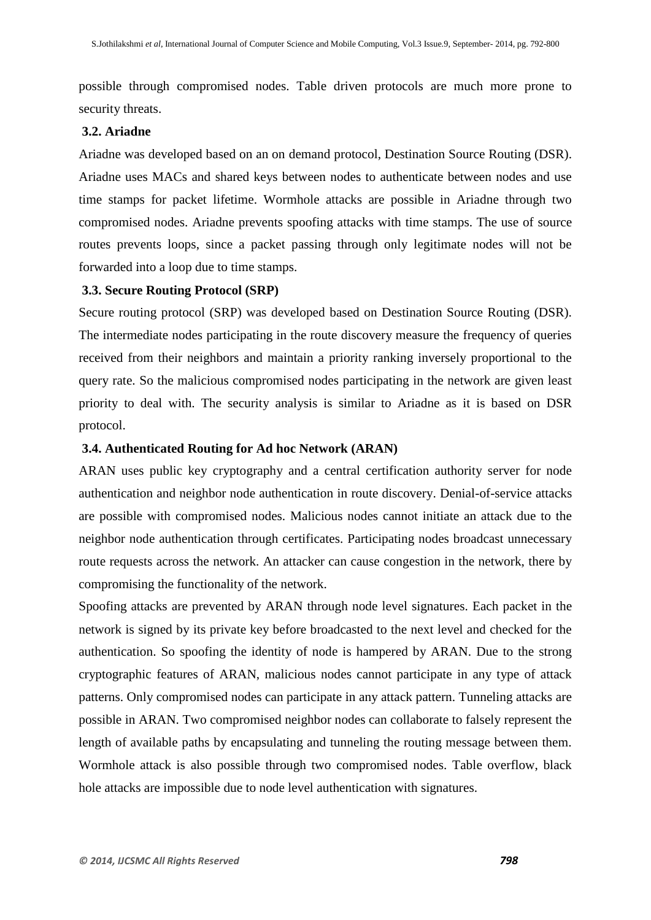possible through compromised nodes. Table driven protocols are much more prone to security threats.

#### **3.2. Ariadne**

Ariadne was developed based on an on demand protocol, Destination Source Routing (DSR). Ariadne uses MACs and shared keys between nodes to authenticate between nodes and use time stamps for packet lifetime. Wormhole attacks are possible in Ariadne through two compromised nodes. Ariadne prevents spoofing attacks with time stamps. The use of source routes prevents loops, since a packet passing through only legitimate nodes will not be forwarded into a loop due to time stamps.

#### **3.3. Secure Routing Protocol (SRP)**

Secure routing protocol (SRP) was developed based on Destination Source Routing (DSR). The intermediate nodes participating in the route discovery measure the frequency of queries received from their neighbors and maintain a priority ranking inversely proportional to the query rate. So the malicious compromised nodes participating in the network are given least priority to deal with. The security analysis is similar to Ariadne as it is based on DSR protocol.

# **3.4. Authenticated Routing for Ad hoc Network (ARAN)**

ARAN uses public key cryptography and a central certification authority server for node authentication and neighbor node authentication in route discovery. Denial-of-service attacks are possible with compromised nodes. Malicious nodes cannot initiate an attack due to the neighbor node authentication through certificates. Participating nodes broadcast unnecessary route requests across the network. An attacker can cause congestion in the network, there by compromising the functionality of the network.

Spoofing attacks are prevented by ARAN through node level signatures. Each packet in the network is signed by its private key before broadcasted to the next level and checked for the authentication. So spoofing the identity of node is hampered by ARAN. Due to the strong cryptographic features of ARAN, malicious nodes cannot participate in any type of attack patterns. Only compromised nodes can participate in any attack pattern. Tunneling attacks are possible in ARAN. Two compromised neighbor nodes can collaborate to falsely represent the length of available paths by encapsulating and tunneling the routing message between them. Wormhole attack is also possible through two compromised nodes. Table overflow, black hole attacks are impossible due to node level authentication with signatures.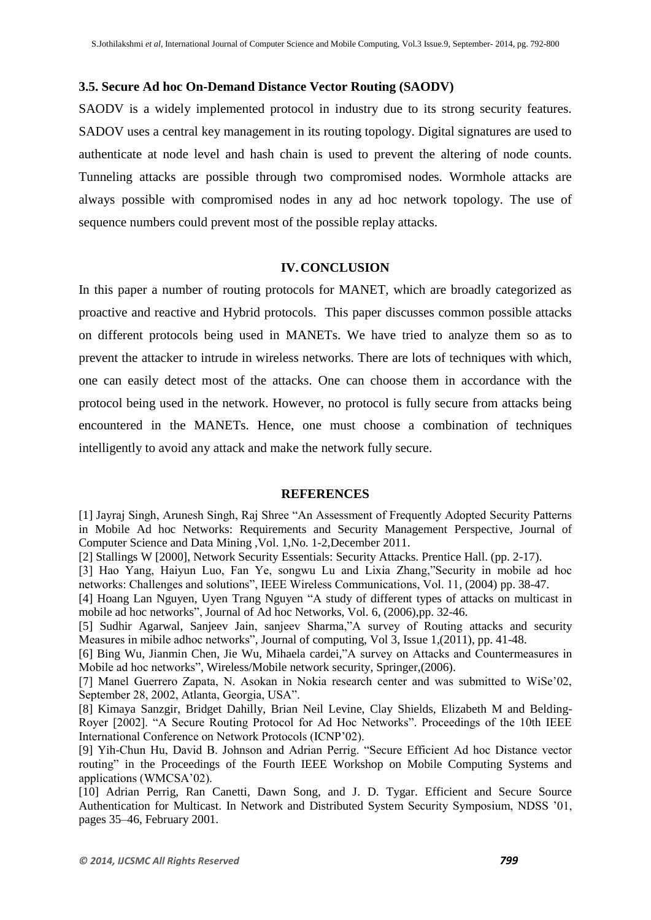### **3.5. Secure Ad hoc On-Demand Distance Vector Routing (SAODV)**

SAODV is a widely implemented protocol in industry due to its strong security features. SADOV uses a central key management in its routing topology. Digital signatures are used to authenticate at node level and hash chain is used to prevent the altering of node counts. Tunneling attacks are possible through two compromised nodes. Wormhole attacks are always possible with compromised nodes in any ad hoc network topology. The use of sequence numbers could prevent most of the possible replay attacks.

#### **IV.CONCLUSION**

In this paper a number of routing protocols for MANET, which are broadly categorized as proactive and reactive and Hybrid protocols. This paper discusses common possible attacks on different protocols being used in MANETs. We have tried to analyze them so as to prevent the attacker to intrude in wireless networks. There are lots of techniques with which, one can easily detect most of the attacks. One can choose them in accordance with the protocol being used in the network. However, no protocol is fully secure from attacks being encountered in the MANETs. Hence, one must choose a combination of techniques intelligently to avoid any attack and make the network fully secure.

#### **REFERENCES**

[1] Jayraj Singh, Arunesh Singh, Raj Shree "An Assessment of Frequently Adopted Security Patterns in Mobile Ad hoc Networks: Requirements and Security Management Perspective, Journal of Computer Science and Data Mining ,Vol. 1,No. 1-2,December 2011.

[2] Stallings W [2000], Network Security Essentials: Security Attacks. Prentice Hall. (pp. 2-17).

[3] Hao Yang, Haiyun Luo, Fan Ye, songwu Lu and Lixia Zhang,"Security in mobile ad hoc networks: Challenges and solutions", IEEE Wireless Communications, Vol. 11, (2004) pp. 38-47.

[4] Hoang Lan Nguyen, Uyen Trang Nguyen "A study of different types of attacks on multicast in mobile ad hoc networks", Journal of Ad hoc Networks, Vol. 6, (2006),pp. 32-46.

[5] Sudhir Agarwal, Sanjeev Jain, sanjeev Sharma,"A survey of Routing attacks and security Measures in mibile adhoc networks", Journal of computing, Vol 3, Issue 1,(2011), pp. 41-48.

[6] Bing Wu, Jianmin Chen, Jie Wu, Mihaela cardei,"A survey on Attacks and Countermeasures in Mobile ad hoc networks", Wireless/Mobile network security, Springer,(2006).

[7] Manel Guerrero Zapata, N. Asokan in Nokia research center and was submitted to WiSe'02, September 28, 2002, Atlanta, Georgia, USA".

[8] Kimaya Sanzgir, Bridget Dahilly, Brian Neil Levine, Clay Shields, Elizabeth M and Belding-Royer [2002]. "A Secure Routing Protocol for Ad Hoc Networks". Proceedings of the 10th IEEE International Conference on Network Protocols (ICNP'02).

[9] Yih-Chun Hu, David B. Johnson and Adrian Perrig. "Secure Efficient Ad hoc Distance vector routing" in the Proceedings of the Fourth IEEE Workshop on Mobile Computing Systems and applications (WMCSA'02).

[10] Adrian Perrig, Ran Canetti, Dawn Song, and J. D. Tygar. Efficient and Secure Source Authentication for Multicast. In Network and Distributed System Security Symposium, NDSS '01, pages 35–46, February 2001.